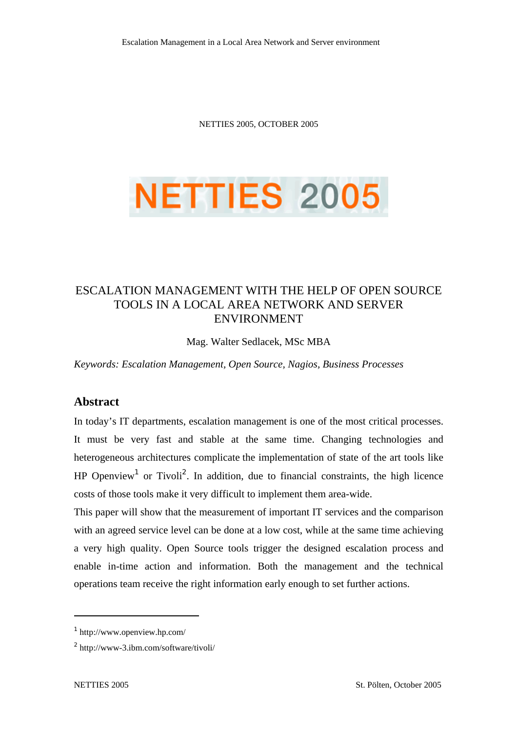NETTIES 2005, OCTOBER 2005



# ESCALATION MANAGEMENT WITH THE HELP OF OPEN SOURCE TOOLS IN A LOCAL AREA NETWORK AND SERVER ENVIRONMENT

Mag. Walter Sedlacek, MSc MBA

*Keywords: Escalation Management, Open Source, Nagios, Business Processes* 

### **Abstract**

In today's IT departments, escalation management is one of the most critical processes. It must be very fast and stable at the same time. Changing technologies and heterogeneous architectures complicate the implementation of state of the art tools like HP Openview<sup>1</sup> or Tivoli<sup>2</sup>. In addition, due to financial constraints, the high licence costs of those tools make it very difficult to implement them area-wide.

This paper will show that the measurement of important IT services and the comparison with an agreed service level can be done at a low cost, while at the same time achieving a very high quality. Open Source tools trigger the designed escalation process and enable in-time action and information. Both the management and the technical operations team receive the right information early enough to set further actions.

<sup>1</sup> http://www.openview.hp.com/

<sup>2</sup> http://www-3.ibm.com/software/tivoli/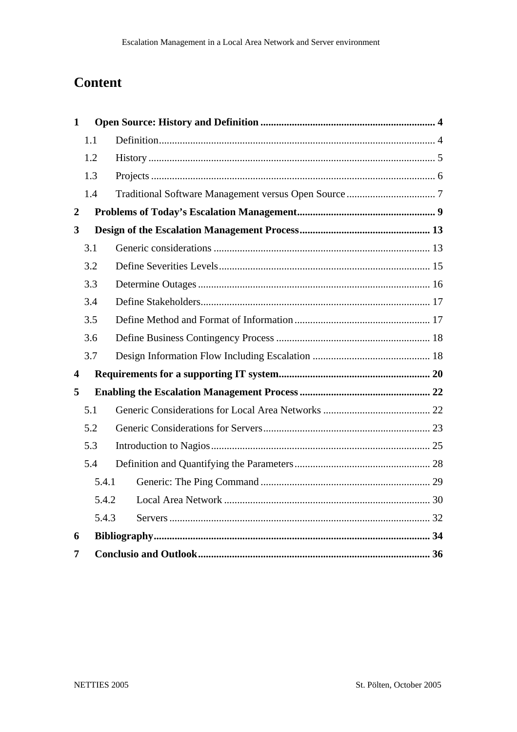# **Content**

| $\mathbf{1}$            |       |  |
|-------------------------|-------|--|
|                         | 1.1   |  |
|                         | 1.2   |  |
|                         | 1.3   |  |
|                         | 1.4   |  |
| $\boldsymbol{2}$        |       |  |
| $\mathbf{3}$            |       |  |
|                         | 3.1   |  |
|                         | 3.2   |  |
|                         | 3.3   |  |
|                         | 3.4   |  |
|                         | 3.5   |  |
|                         | 3.6   |  |
|                         | 3.7   |  |
| $\overline{\mathbf{4}}$ |       |  |
| 5                       |       |  |
|                         | 5.1   |  |
|                         | 5.2   |  |
|                         | 5.3   |  |
|                         | 5.4   |  |
|                         | 5.4.1 |  |
|                         | 5.4.2 |  |
|                         | 5.4.3 |  |
| 6                       |       |  |
| 7                       |       |  |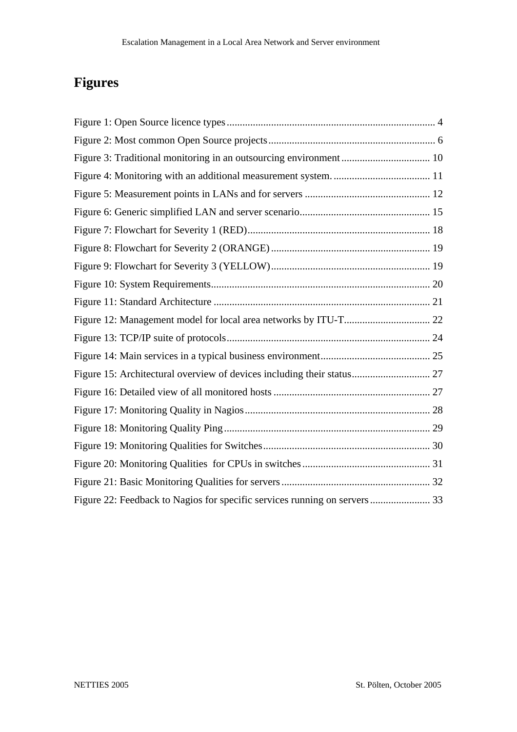# **Figures**

| Figure 15: Architectural overview of devices including their status 27    |  |
|---------------------------------------------------------------------------|--|
|                                                                           |  |
|                                                                           |  |
|                                                                           |  |
|                                                                           |  |
|                                                                           |  |
|                                                                           |  |
| Figure 22: Feedback to Nagios for specific services running on servers 33 |  |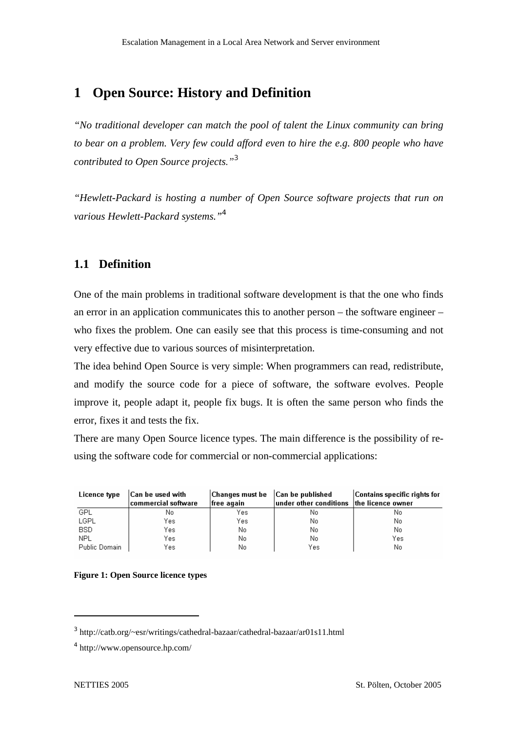# **1 Open Source: History and Definition**

*"No traditional developer can match the pool of talent the Linux community can bring to bear on a problem. Very few could afford even to hire the e.g. 800 people who have contributed to Open Source projects."<sup>3</sup>*

*"Hewlett-Packard is hosting a number of Open Source software projects that run on various Hewlett-Packard systems."<sup>4</sup>*

# **1.1 Definition**

One of the main problems in traditional software development is that the one who finds an error in an application communicates this to another person – the software engineer – who fixes the problem. One can easily see that this process is time-consuming and not very effective due to various sources of misinterpretation.

The idea behind Open Source is very simple: When programmers can read, redistribute, and modify the source code for a piece of software, the software evolves. People improve it, people adapt it, people fix bugs. It is often the same person who finds the error, fixes it and tests the fix.

There are many Open Source licence types. The main difference is the possibility of reusing the software code for commercial or non-commercial applications:

| Licence type  | Can be used with<br>$ {\rm commercial}$ software | Changes must be   Can be published<br>free again | $ $ under other conditions $ $ the licence owner | Contains specific rights for |
|---------------|--------------------------------------------------|--------------------------------------------------|--------------------------------------------------|------------------------------|
| GPL           | No                                               | Yes                                              | No                                               | No                           |
| LGPL          | Yes                                              | Yes                                              | No                                               | No                           |
| BSD.          | Yes                                              | No.                                              | No                                               | No                           |
| NPL           | Yes                                              | No                                               | No                                               | Yes                          |
| Public Domain | Yes                                              | No                                               | Yes                                              | No                           |

**Figure 1: Open Source licence types** 

<sup>3</sup> http://catb.org/~esr/writings/cathedral-bazaar/cathedral-bazaar/ar01s11.html

<sup>4</sup> http://www.opensource.hp.com/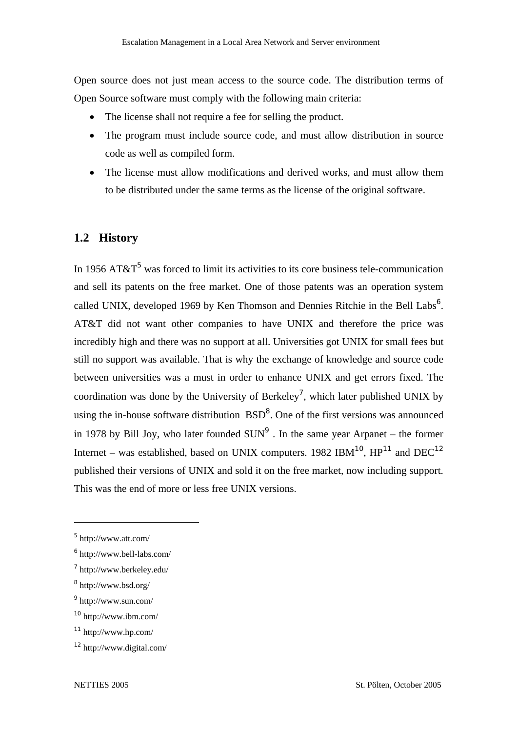Open source does not just mean access to the source code. The distribution terms of Open Source software must comply with the following main criteria:

- The license shall not require a fee for selling the product.
- The program must include source code, and must allow distribution in source code as well as compiled form.
- The license must allow modifications and derived works, and must allow them to be distributed under the same terms as the license of the original software.

### **1.2 History**

In 1956 AT&T<sup>5</sup> was forced to limit its activities to its core business tele-communication and sell its patents on the free market. One of those patents was an operation system called UNIX, developed 1969 by Ken Thomson and Dennies Ritchie in the Bell Labs<sup>6</sup>. AT&T did not want other companies to have UNIX and therefore the price was incredibly high and there was no support at all. Universities got UNIX for small fees but still no support was available. That is why the exchange of knowledge and source code between universities was a must in order to enhance UNIX and get errors fixed. The coordination was done by the University of Berkeley<sup>7</sup>, which later published UNIX by using the in-house software distribution  $BSD<sup>8</sup>$ . One of the first versions was announced in 1978 by Bill Joy, who later founded  $SUN<sup>9</sup>$ . In the same year Arpanet – the former Internet – was established, based on UNIX computers. 1982 IBM<sup>10</sup>,  $HP^{11}$  and DEC<sup>12</sup> published their versions of UNIX and sold it on the free market, now including support. This was the end of more or less free UNIX versions.

<sup>5</sup> http://www.att.com/

<sup>6</sup> http://www.bell-labs.com/

<sup>7</sup> http://www.berkeley.edu/

<sup>8</sup> http://www.bsd.org/

<sup>9</sup> http://www.sun.com/

<sup>10</sup> http://www.ibm.com/

<sup>11</sup> http://www.hp.com/

<sup>12</sup> http://www.digital.com/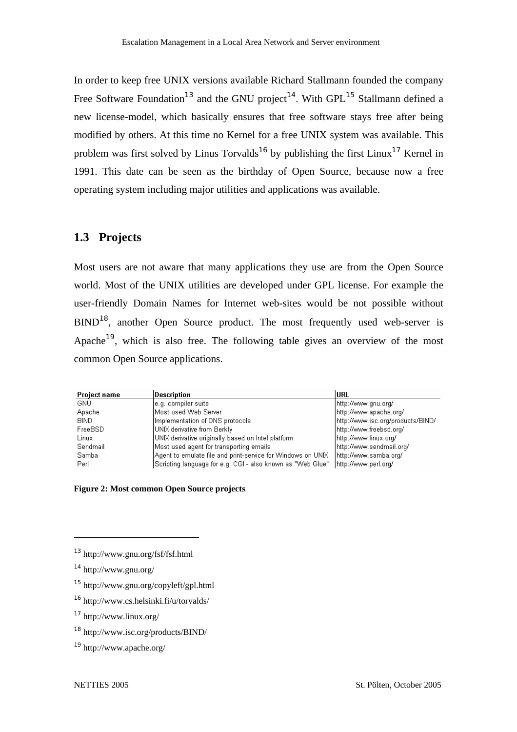In order to keep free UNIX versions available Richard Stallmann founded the company Free Software Foundation<sup>13</sup> and the GNU project<sup>14</sup>. With GPL<sup>15</sup> Stallmann defined a new license-model, which basically ensures that free software stays free after being modified by others. At this time no Kernel for a free UNIX system was available. This problem was first solved by Linus Torvalds<sup>16</sup> by publishing the first Linux<sup>17</sup> Kernel in 1991. This date can be seen as the birthday of Open Source, because now a free operating system including major utilities and applications was available.

# **1.3 Projects**

Most users are not aware that many applications they use are from the Open Source world. Most of the UNIX utilities are developed under GPL license. For example the user-friendly Domain Names for Internet web-sites would be not possible without BIND<sup>18</sup>, another Open Source product. The most frequently used web-server is Apache<sup>19</sup>, which is also free. The following table gives an overview of the most common Open Source applications.

| <b>Project name</b> | Description                                                 | lurl                              |
|---------------------|-------------------------------------------------------------|-----------------------------------|
| GNU.                | le.g. compiler suite.                                       | http://www.gnu.org/               |
| Apache              | lMost used Web Server                                       | http://www.apache.org/            |
| BIND.               | Implementation of DNS protocols                             | http://www.isc.org/products/BIND/ |
| FreeBSD             | UNIX derivative from Berkly                                 | http://www.freebsd.org/           |
| Linux               | UNIX derivative originally based on Intel platform          | http://www.linux.org/             |
| Sendmail            | Most used agent for transporting emails.                    | http://www.sendmail.org/          |
| Samba               | Agent to emulate file and print-service for Windows on UNIX | http://www.samba.org/             |
| Perl                | Scripting language for e.g. CGI - also known as "Web Glue"  | http://www.perl.org/              |

#### **Figure 2: Most common Open Source projects**

<sup>13</sup> http://www.gnu.org/fsf/fsf.html

<sup>14</sup> http://www.gnu.org/

<sup>15</sup> http://www.gnu.org/copyleft/gpl.html

<sup>16</sup> http://www.cs.helsinki.fi/u/torvalds/

<sup>17</sup> http://www.linux.org/

<sup>18</sup> http://www.isc.org/products/BIND/

<sup>19</sup> http://www.apache.org/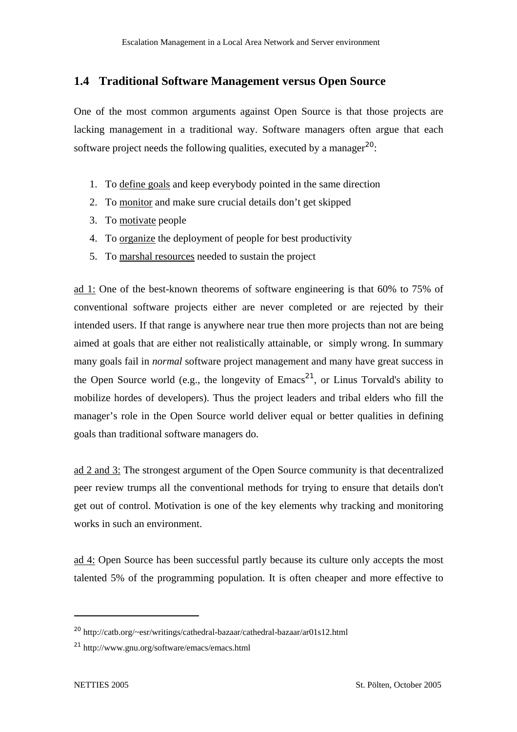### **1.4 Traditional Software Management versus Open Source**

One of the most common arguments against Open Source is that those projects are lacking management in a traditional way. Software managers often argue that each software project needs the following qualities, executed by a manager<sup>20</sup>:

- 1. To define goals and keep everybody pointed in the same direction
- 2. To monitor and make sure crucial details don't get skipped
- 3. To motivate people
- 4. To organize the deployment of people for best productivity
- 5. To marshal resources needed to sustain the project

ad 1: One of the best-known theorems of software engineering is that 60% to 75% of conventional software projects either are never completed or are rejected by their intended users. If that range is anywhere near true then more projects than not are being aimed at goals that are either not realistically attainable, or simply wrong. In summary many goals fail in *normal* software project management and many have great success in the Open Source world (e.g., the longevity of  $Emacs^{21}$ , or Linus Torvald's ability to mobilize hordes of developers). Thus the project leaders and tribal elders who fill the manager's role in the Open Source world deliver equal or better qualities in defining goals than traditional software managers do.

ad 2 and 3: The strongest argument of the Open Source community is that decentralized peer review trumps all the conventional methods for trying to ensure that details don't get out of control. Motivation is one of the key elements why tracking and monitoring works in such an environment.

ad 4: Open Source has been successful partly because its culture only accepts the most talented 5% of the programming population. It is often cheaper and more effective to

<sup>20</sup> http://catb.org/~esr/writings/cathedral-bazaar/cathedral-bazaar/ar01s12.html

<sup>21</sup> http://www.gnu.org/software/emacs/emacs.html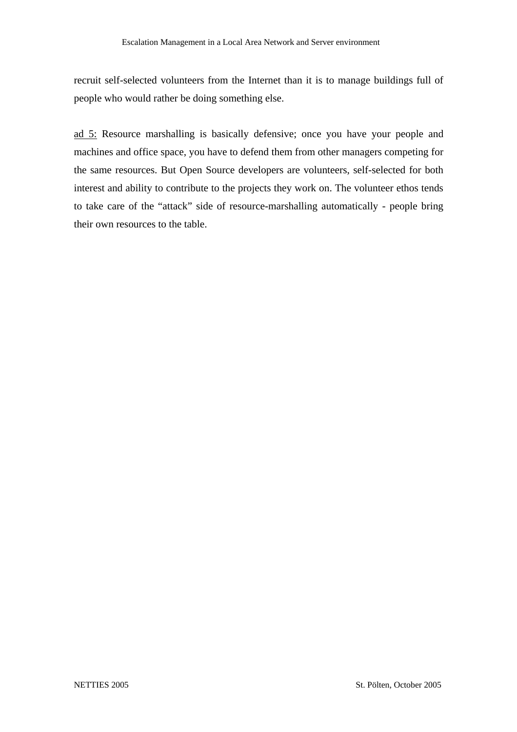recruit self-selected volunteers from the Internet than it is to manage buildings full of people who would rather be doing something else.

ad 5: Resource marshalling is basically defensive; once you have your people and machines and office space, you have to defend them from other managers competing for the same resources. But Open Source developers are volunteers, self-selected for both interest and ability to contribute to the projects they work on. The volunteer ethos tends to take care of the "attack" side of resource-marshalling automatically - people bring their own resources to the table.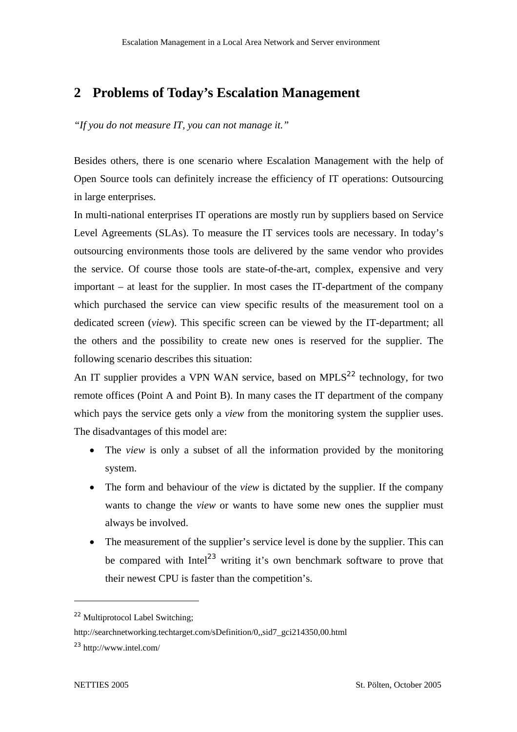# **2 Problems of Today's Escalation Management**

*"If you do not measure IT, you can not manage it."* 

Besides others, there is one scenario where Escalation Management with the help of Open Source tools can definitely increase the efficiency of IT operations: Outsourcing in large enterprises.

In multi-national enterprises IT operations are mostly run by suppliers based on Service Level Agreements (SLAs). To measure the IT services tools are necessary. In today's outsourcing environments those tools are delivered by the same vendor who provides the service. Of course those tools are state-of-the-art, complex, expensive and very important – at least for the supplier. In most cases the IT-department of the company which purchased the service can view specific results of the measurement tool on a dedicated screen (*view*). This specific screen can be viewed by the IT-department; all the others and the possibility to create new ones is reserved for the supplier. The following scenario describes this situation:

An IT supplier provides a VPN WAN service, based on MPLS $^{22}$  technology, for two remote offices (Point A and Point B). In many cases the IT department of the company which pays the service gets only a *view* from the monitoring system the supplier uses. The disadvantages of this model are:

- The *view* is only a subset of all the information provided by the monitoring system.
- The form and behaviour of the *view* is dictated by the supplier. If the company wants to change the *view* or wants to have some new ones the supplier must always be involved.
- The measurement of the supplier's service level is done by the supplier. This can be compared with  $\text{Intel}^{23}$  writing it's own benchmark software to prove that their newest CPU is faster than the competition's.

<sup>22</sup> Multiprotocol Label Switching;

http://searchnetworking.techtarget.com/sDefinition/0,,sid7\_gci214350,00.html

<sup>23</sup> http://www.intel.com/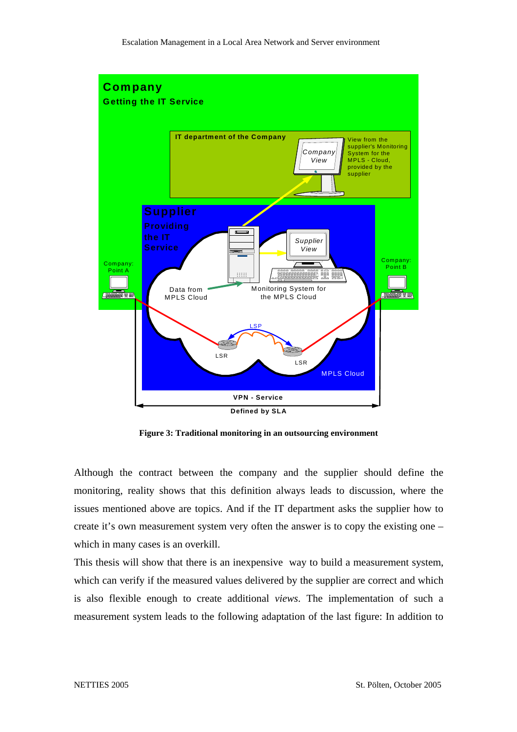

**Figure 3: Traditional monitoring in an outsourcing environment** 

Although the contract between the company and the supplier should define the monitoring, reality shows that this definition always leads to discussion, where the issues mentioned above are topics. And if the IT department asks the supplier how to create it's own measurement system very often the answer is to copy the existing one – which in many cases is an overkill.

This thesis will show that there is an inexpensive way to build a measurement system, which can verify if the measured values delivered by the supplier are correct and which is also flexible enough to create additional *views*. The implementation of such a measurement system leads to the following adaptation of the last figure: In addition to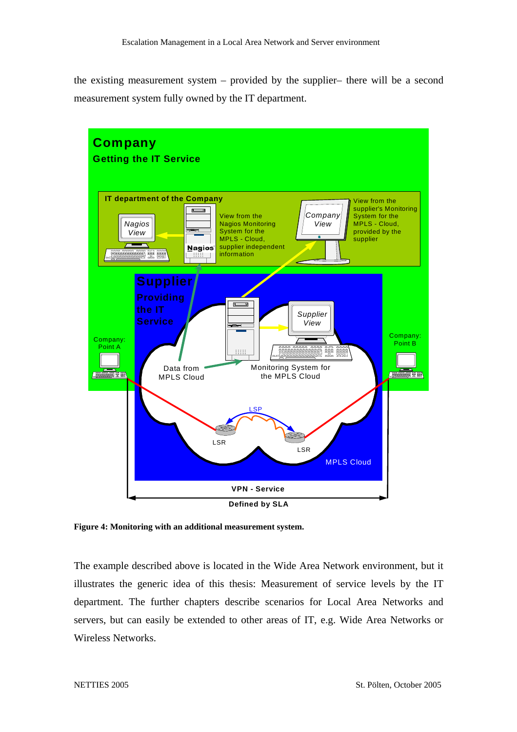the existing measurement system – provided by the supplier– there will be a second measurement system fully owned by the IT department.



**Figure 4: Monitoring with an additional measurement system.** 

The example described above is located in the Wide Area Network environment, but it illustrates the generic idea of this thesis: Measurement of service levels by the IT department. The further chapters describe scenarios for Local Area Networks and servers, but can easily be extended to other areas of IT, e.g. Wide Area Networks or Wireless Networks.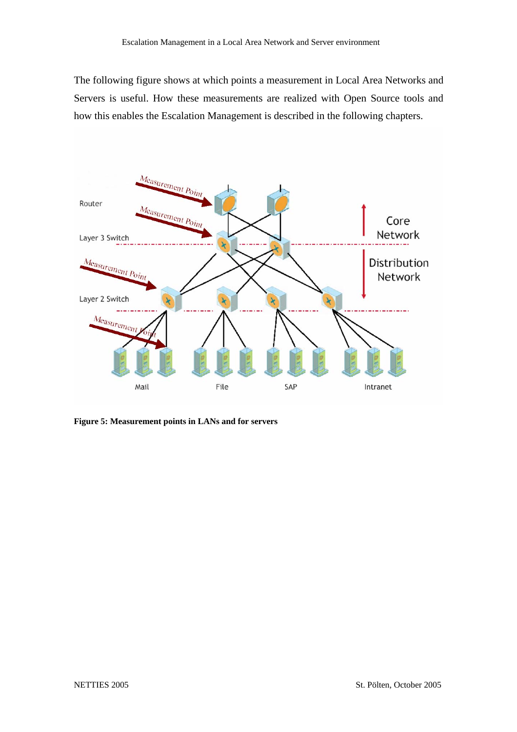The following figure shows at which points a measurement in Local Area Networks and Servers is useful. How these measurements are realized with Open Source tools and how this enables the Escalation Management is described in the following chapters.



**Figure 5: Measurement points in LANs and for servers**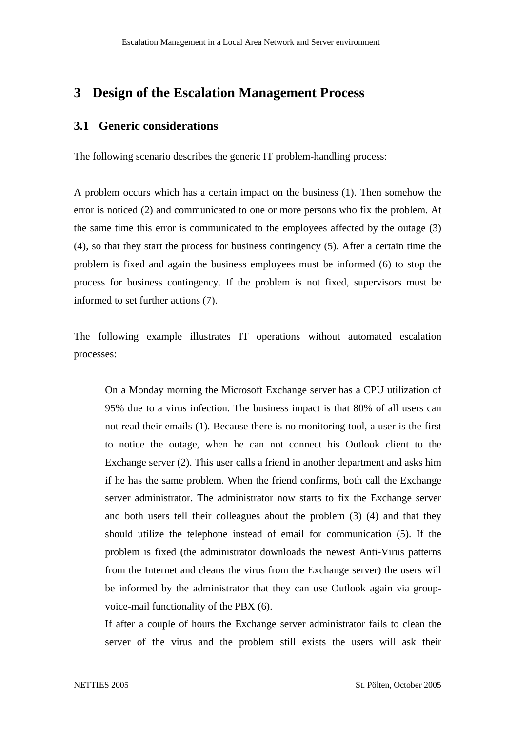# **3 Design of the Escalation Management Process**

# **3.1 Generic considerations**

The following scenario describes the generic IT problem-handling process:

A problem occurs which has a certain impact on the business (1). Then somehow the error is noticed (2) and communicated to one or more persons who fix the problem. At the same time this error is communicated to the employees affected by the outage (3) (4), so that they start the process for business contingency (5). After a certain time the problem is fixed and again the business employees must be informed (6) to stop the process for business contingency. If the problem is not fixed, supervisors must be informed to set further actions (7).

The following example illustrates IT operations without automated escalation processes:

On a Monday morning the Microsoft Exchange server has a CPU utilization of 95% due to a virus infection. The business impact is that 80% of all users can not read their emails (1). Because there is no monitoring tool, a user is the first to notice the outage, when he can not connect his Outlook client to the Exchange server (2). This user calls a friend in another department and asks him if he has the same problem. When the friend confirms, both call the Exchange server administrator. The administrator now starts to fix the Exchange server and both users tell their colleagues about the problem (3) (4) and that they should utilize the telephone instead of email for communication (5). If the problem is fixed (the administrator downloads the newest Anti-Virus patterns from the Internet and cleans the virus from the Exchange server) the users will be informed by the administrator that they can use Outlook again via groupvoice-mail functionality of the PBX (6).

If after a couple of hours the Exchange server administrator fails to clean the server of the virus and the problem still exists the users will ask their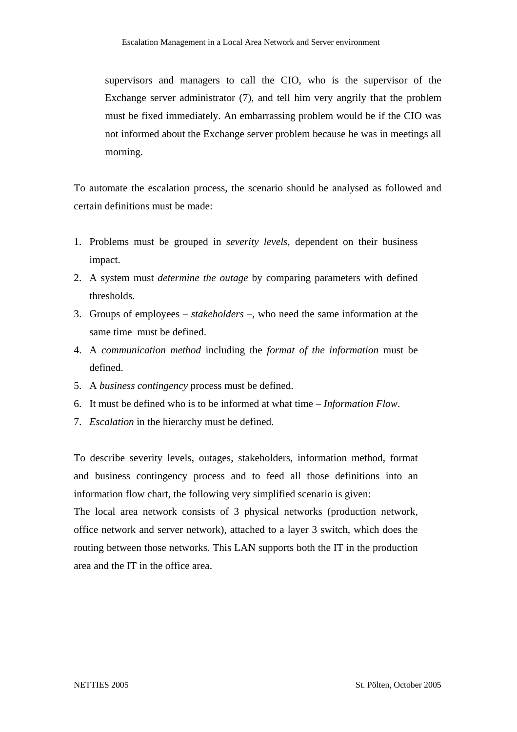supervisors and managers to call the CIO, who is the supervisor of the Exchange server administrator (7), and tell him very angrily that the problem must be fixed immediately. An embarrassing problem would be if the CIO was not informed about the Exchange server problem because he was in meetings all morning.

To automate the escalation process, the scenario should be analysed as followed and certain definitions must be made:

- 1. Problems must be grouped in *severity levels*, dependent on their business impact.
- 2. A system must *determine the outage* by comparing parameters with defined thresholds.
- 3. Groups of employees *stakeholders* –, who need the same information at the same time must be defined.
- 4. A *communication method* including the *format of the information* must be defined.
- 5. A *business contingency* process must be defined.
- 6. It must be defined who is to be informed at what time *Information Flow*.
- 7. *Escalation* in the hierarchy must be defined.

To describe severity levels, outages, stakeholders, information method, format and business contingency process and to feed all those definitions into an information flow chart, the following very simplified scenario is given:

The local area network consists of 3 physical networks (production network, office network and server network), attached to a layer 3 switch, which does the routing between those networks. This LAN supports both the IT in the production area and the IT in the office area.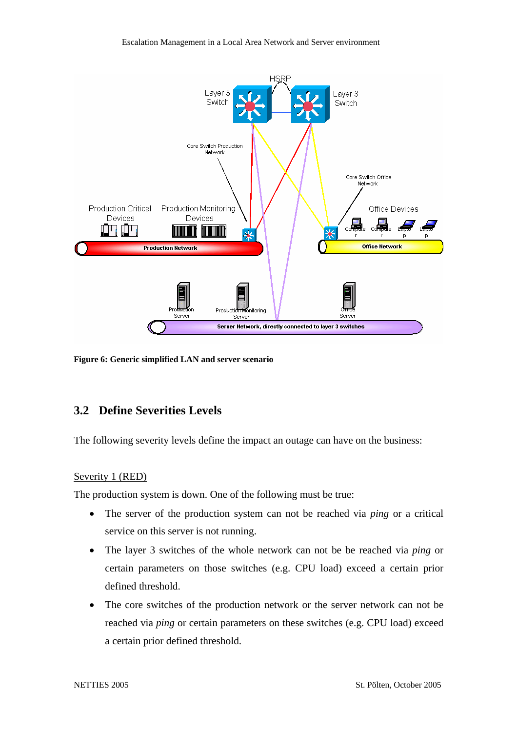

**Figure 6: Generic simplified LAN and server scenario**

# **3.2 Define Severities Levels**

The following severity levels define the impact an outage can have on the business:

### Severity 1 (RED)

The production system is down. One of the following must be true:

- The server of the production system can not be reached via *ping* or a critical service on this server is not running.
- The layer 3 switches of the whole network can not be be reached via *ping* or certain parameters on those switches (e.g. CPU load) exceed a certain prior defined threshold.
- The core switches of the production network or the server network can not be reached via *ping* or certain parameters on these switches (e.g. CPU load) exceed a certain prior defined threshold.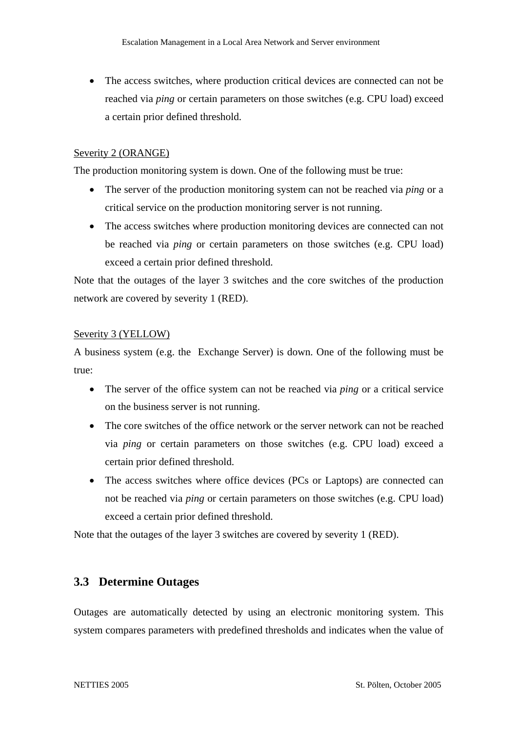• The access switches, where production critical devices are connected can not be reached via *ping* or certain parameters on those switches (e.g. CPU load) exceed a certain prior defined threshold.

### Severity 2 (ORANGE)

The production monitoring system is down. One of the following must be true:

- The server of the production monitoring system can not be reached via *ping* or a critical service on the production monitoring server is not running.
- The access switches where production monitoring devices are connected can not be reached via *ping* or certain parameters on those switches (e.g. CPU load) exceed a certain prior defined threshold.

Note that the outages of the layer 3 switches and the core switches of the production network are covered by severity 1 (RED).

### Severity 3 (YELLOW)

A business system (e.g. the Exchange Server) is down. One of the following must be true:

- The server of the office system can not be reached via *ping* or a critical service on the business server is not running.
- The core switches of the office network or the server network can not be reached via *ping* or certain parameters on those switches (e.g. CPU load) exceed a certain prior defined threshold.
- The access switches where office devices (PCs or Laptops) are connected can not be reached via *ping* or certain parameters on those switches (e.g. CPU load) exceed a certain prior defined threshold.

Note that the outages of the layer 3 switches are covered by severity 1 (RED).

# **3.3 Determine Outages**

Outages are automatically detected by using an electronic monitoring system. This system compares parameters with predefined thresholds and indicates when the value of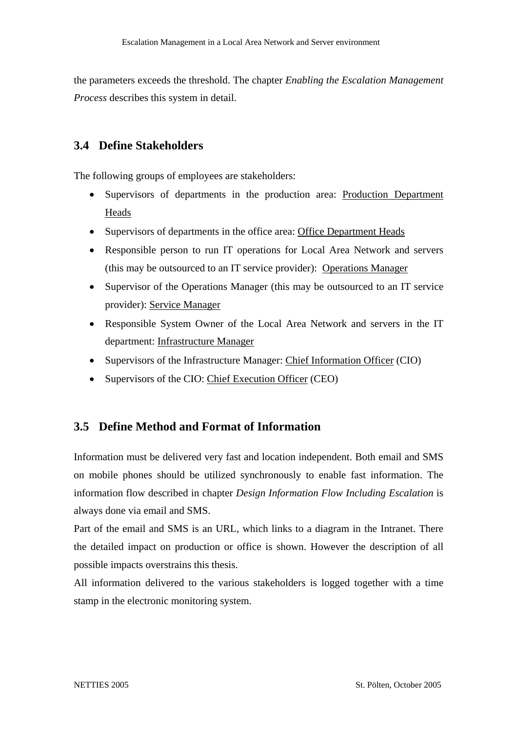the parameters exceeds the threshold. The chapter *Enabling the Escalation Management Process* describes this system in detail.

# **3.4 Define Stakeholders**

The following groups of employees are stakeholders:

- Supervisors of departments in the production area: Production Department Heads
- Supervisors of departments in the office area: Office Department Heads
- Responsible person to run IT operations for Local Area Network and servers (this may be outsourced to an IT service provider): Operations Manager
- Supervisor of the Operations Manager (this may be outsourced to an IT service provider): Service Manager
- Responsible System Owner of the Local Area Network and servers in the IT department: Infrastructure Manager
- Supervisors of the Infrastructure Manager: Chief Information Officer (CIO)
- Supervisors of the CIO: Chief Execution Officer (CEO)

# **3.5 Define Method and Format of Information**

Information must be delivered very fast and location independent. Both email and SMS on mobile phones should be utilized synchronously to enable fast information. The information flow described in chapter *Design Information Flow Including Escalation* is always done via email and SMS.

Part of the email and SMS is an URL, which links to a diagram in the Intranet. There the detailed impact on production or office is shown. However the description of all possible impacts overstrains this thesis.

All information delivered to the various stakeholders is logged together with a time stamp in the electronic monitoring system.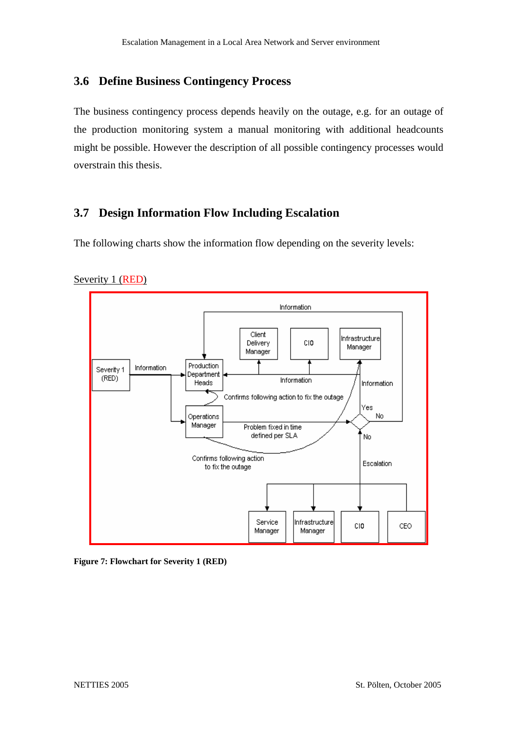# **3.6 Define Business Contingency Process**

The business contingency process depends heavily on the outage, e.g. for an outage of the production monitoring system a manual monitoring with additional headcounts might be possible. However the description of all possible contingency processes would overstrain this thesis.

# **3.7 Design Information Flow Including Escalation**

The following charts show the information flow depending on the severity levels:



### Severity 1 (RED)

**Figure 7: Flowchart for Severity 1 (RED)**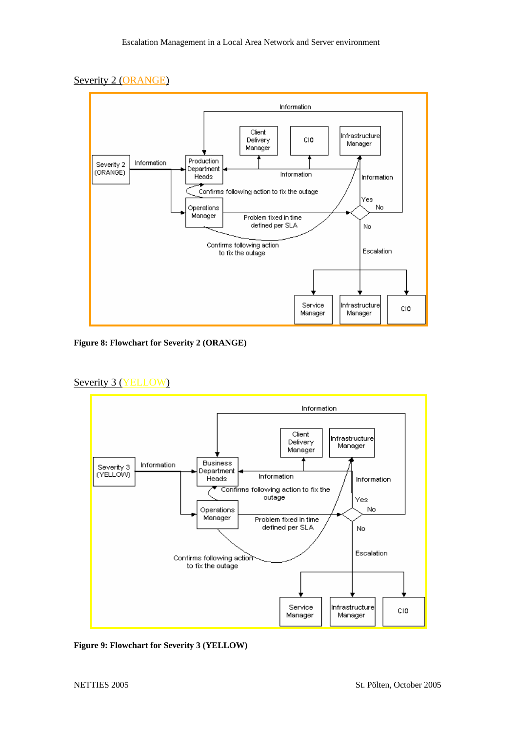### Severity 2 (ORANGE)



**Figure 8: Flowchart for Severity 2 (ORANGE)** 

#### Severity 3 (YELLOW)



**Figure 9: Flowchart for Severity 3 (YELLOW)**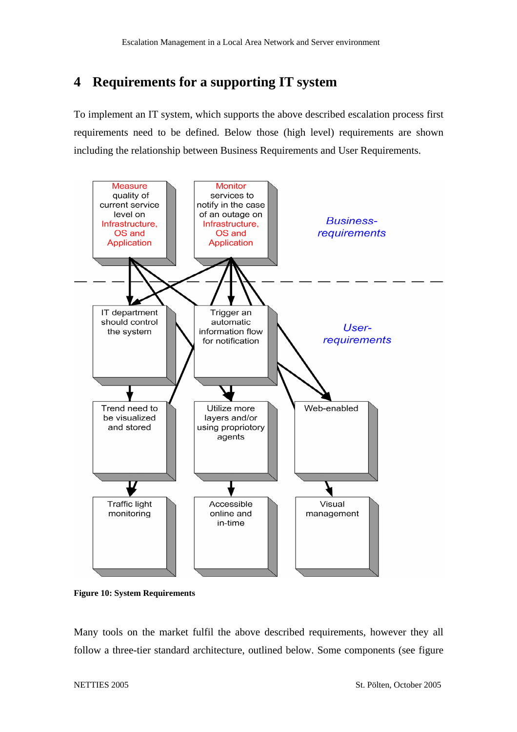# **4 Requirements for a supporting IT system**

To implement an IT system, which supports the above described escalation process first requirements need to be defined. Below those (high level) requirements are shown including the relationship between Business Requirements and User Requirements.



**Figure 10: System Requirements** 

Many tools on the market fulfil the above described requirements, however they all follow a three-tier standard architecture, outlined below. Some components (see figure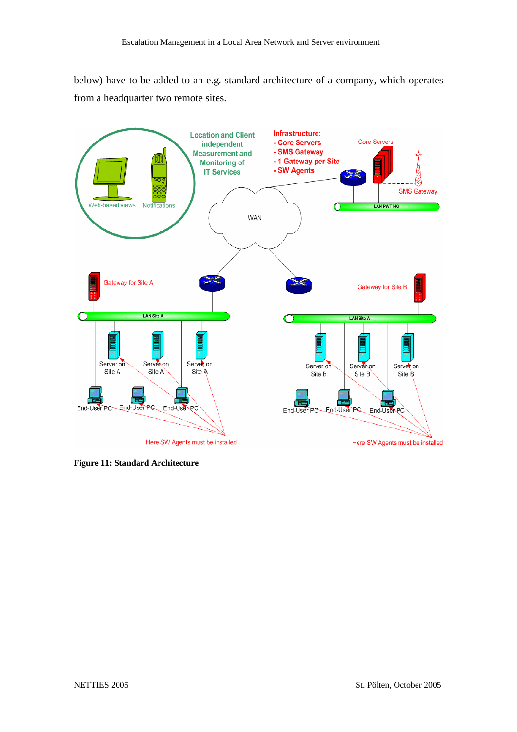below) have to be added to an e.g. standard architecture of a company, which operates from a headquarter two remote sites.



**Figure 11: Standard Architecture**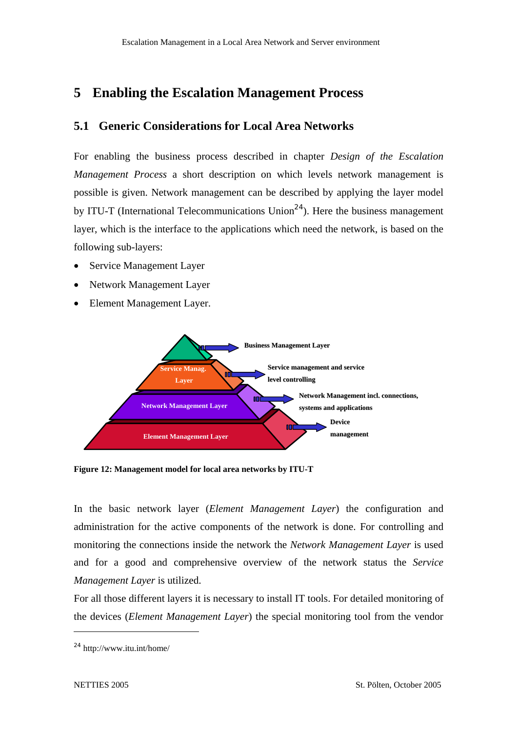# **5 Enabling the Escalation Management Process**

# **5.1 Generic Considerations for Local Area Networks**

For enabling the business process described in chapter *Design of the Escalation Management Process* a short description on which levels network management is possible is given. Network management can be described by applying the layer model by ITU-T (International Telecommunications Union<sup>24</sup>). Here the business management layer, which is the interface to the applications which need the network, is based on the following sub-layers:

- Service Management Layer
- Network Management Layer
- Element Management Layer.



**Figure 12: Management model for local area networks by ITU-T** 

In the basic network layer (*Element Management Layer*) the configuration and administration for the active components of the network is done. For controlling and monitoring the connections inside the network the *Network Management Layer* is used and for a good and comprehensive overview of the network status the *Service Management Layer* is utilized.

For all those different layers it is necessary to install IT tools. For detailed monitoring of the devices (*Element Management Layer*) the special monitoring tool from the vendor

<sup>24</sup> http://www.itu.int/home/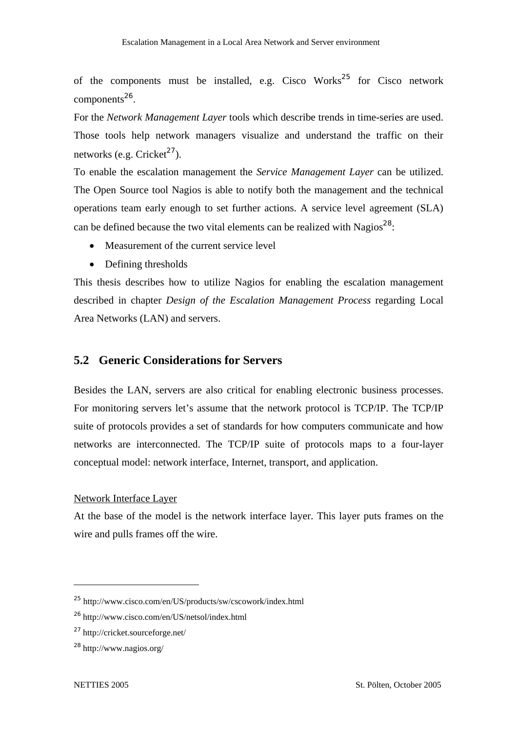of the components must be installed, e.g. Cisco Works<sup>25</sup> for Cisco network components $^{26}$ .

For the *Network Management Layer* tools which describe trends in time-series are used. Those tools help network managers visualize and understand the traffic on their networks (e.g. Cricket<sup>27</sup>).

To enable the escalation management the *Service Management Layer* can be utilized. The Open Source tool Nagios is able to notify both the management and the technical operations team early enough to set further actions. A service level agreement (SLA) can be defined because the two vital elements can be realized with Nagios<sup>28</sup>:

- Measurement of the current service level
- Defining thresholds

This thesis describes how to utilize Nagios for enabling the escalation management described in chapter *Design of the Escalation Management Process* regarding Local Area Networks (LAN) and servers.

# **5.2 Generic Considerations for Servers**

Besides the LAN, servers are also critical for enabling electronic business processes. For monitoring servers let's assume that the network protocol is TCP/IP. The TCP/IP suite of protocols provides a set of standards for how computers communicate and how networks are interconnected. The TCP/IP suite of protocols maps to a four-layer conceptual model: network interface, Internet, transport, and application.

#### Network Interface Layer

At the base of the model is the network interface layer. This layer puts frames on the wire and pulls frames off the wire.

<sup>25</sup> http://www.cisco.com/en/US/products/sw/cscowork/index.html

<sup>&</sup>lt;sup>26</sup> http://www.cisco.com/en/US/netsol/index.html

<sup>27</sup>http://cricket.sourceforge.net/

 $^{28}$  http://www.nagios.org/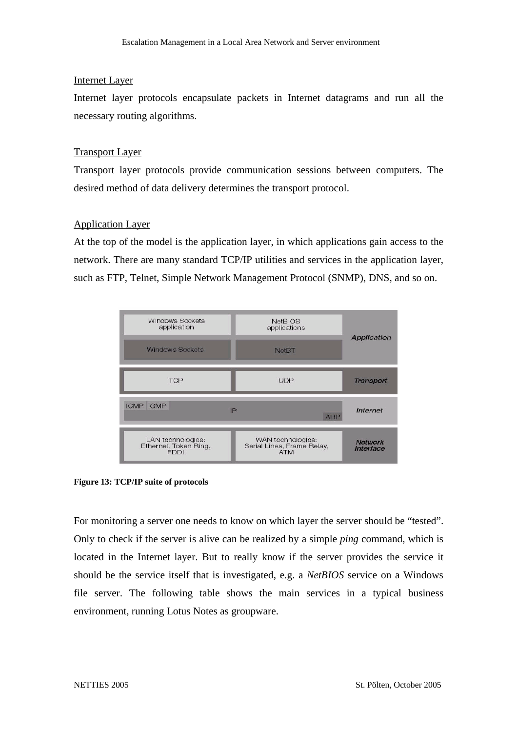### Internet Layer

Internet layer protocols encapsulate packets in Internet datagrams and run all the necessary routing algorithms.

### Transport Layer

Transport layer protocols provide communication sessions between computers. The desired method of data delivery determines the transport protocol.

### Application Layer

At the top of the model is the application layer, in which applications gain access to the network. There are many standard TCP/IP utilities and services in the application layer, such as FTP, Telnet, Simple Network Management Protocol (SNMP), DNS, and so on.



**Figure 13: TCP/IP suite of protocols** 

For monitoring a server one needs to know on which layer the server should be "tested". Only to check if the server is alive can be realized by a simple *ping* command, which is located in the Internet layer. But to really know if the server provides the service it should be the service itself that is investigated, e.g. a *NetBIOS* service on a Windows file server. The following table shows the main services in a typical business environment, running Lotus Notes as groupware.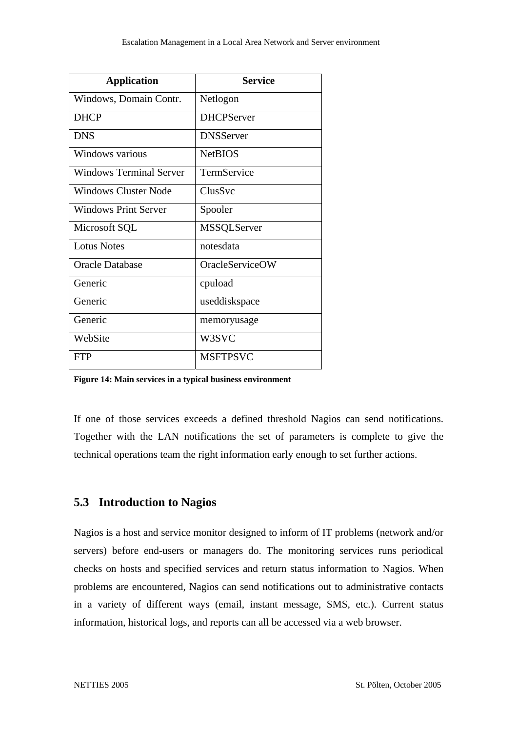| <b>Application</b>             | <b>Service</b>         |
|--------------------------------|------------------------|
| Windows, Domain Contr.         | Netlogon               |
| <b>DHCP</b>                    | <b>DHCPServer</b>      |
| <b>DNS</b>                     | <b>DNSServer</b>       |
| Windows various                | <b>NetBIOS</b>         |
| <b>Windows Terminal Server</b> | TermService            |
| Windows Cluster Node           | ClusSvc                |
| <b>Windows Print Server</b>    | Spooler                |
| Microsoft SQL                  | <b>MSSQLServer</b>     |
| <b>Lotus Notes</b>             | notesdata              |
| <b>Oracle Database</b>         | <b>OracleServiceOW</b> |
| Generic                        | cpuload                |
| Generic                        | useddiskspace          |
| Generic                        | memoryusage            |
| WebSite                        | W3SVC                  |
| <b>FTP</b>                     | <b>MSFTPSVC</b>        |

**Figure 14: Main services in a typical business environment** 

If one of those services exceeds a defined threshold Nagios can send notifications. Together with the LAN notifications the set of parameters is complete to give the technical operations team the right information early enough to set further actions.

### **5.3 Introduction to Nagios**

Nagios is a host and service monitor designed to inform of IT problems (network and/or servers) before end-users or managers do. The monitoring services runs periodical checks on hosts and specified services and return status information to Nagios. When problems are encountered, Nagios can send notifications out to administrative contacts in a variety of different ways (email, instant message, SMS, etc.). Current status information, historical logs, and reports can all be accessed via a web browser.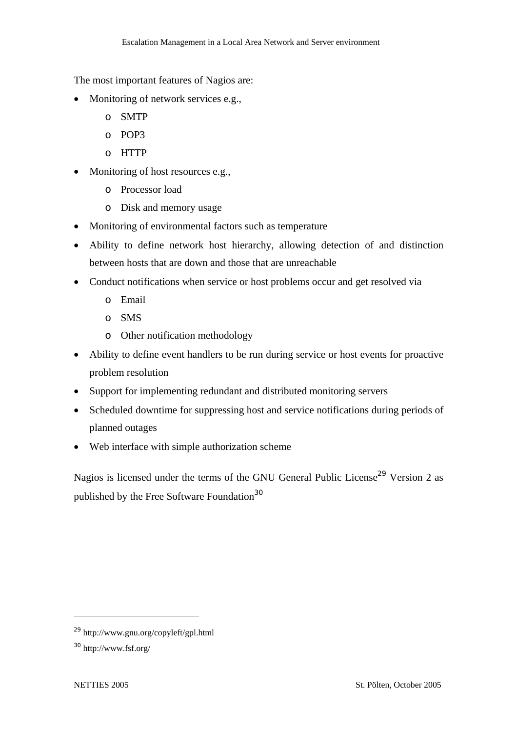The most important features of Nagios are:

- Monitoring of network services e.g.,
	- o SMTP
	- o POP3
	- o HTTP
- Monitoring of host resources e.g.,
	- o Processor load
	- o Disk and memory usage
- Monitoring of environmental factors such as temperature
- Ability to define network host hierarchy, allowing detection of and distinction between hosts that are down and those that are unreachable
- Conduct notifications when service or host problems occur and get resolved via
	- o Email
	- o SMS
	- o Other notification methodology
- Ability to define event handlers to be run during service or host events for proactive problem resolution
- Support for implementing redundant and distributed monitoring servers
- Scheduled downtime for suppressing host and service notifications during periods of planned outages
- Web interface with simple authorization scheme

Nagios is licensed under the terms of the GNU General Public License<sup>29</sup> Version 2 as published by the Free Software Foundation<sup>30</sup>

<sup>29</sup> http://www.gnu.org/copyleft/gpl.html

<sup>30</sup> http://www.fsf.org/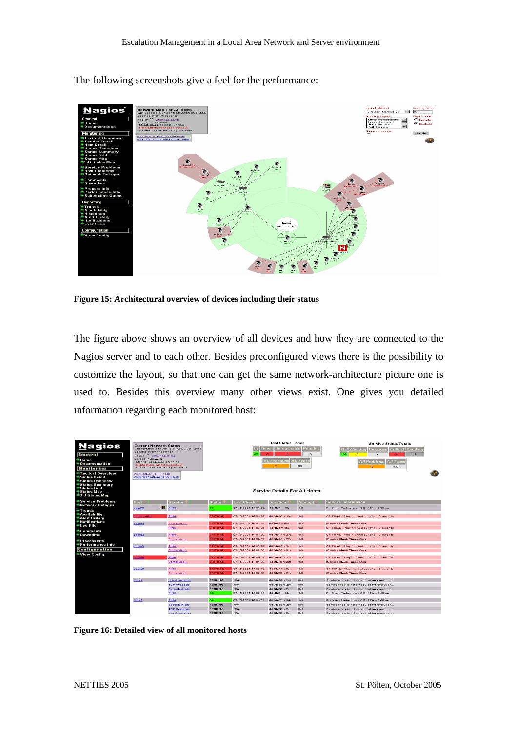

The following screenshots give a feel for the performance:

**Figure 15: Architectural overview of devices including their status** 

The figure above shows an overview of all devices and how they are connected to the Nagios server and to each other. Besides preconfigured views there is the possibility to customize the layout, so that one can get the same network-architecture picture one is used to. Besides this overview many other views exist. One gives you detailed information regarding each monitored host:

|                                                                                                                             |                                                                       |                                            |                     |                                                                                                             | <b>Host Status Totals</b>            |                      | <b>Service Status Totals</b>                            |
|-----------------------------------------------------------------------------------------------------------------------------|-----------------------------------------------------------------------|--------------------------------------------|---------------------|-------------------------------------------------------------------------------------------------------------|--------------------------------------|----------------------|---------------------------------------------------------|
| <b>Nagios</b>                                                                                                               | <b>Current Network Status</b>                                         | Last Updated: Sun Jul 15 14:06:09 CDT 2001 |                     |                                                                                                             | Unreachable<br><b>Down</b>           | Pending              | <b>Unknown</b><br><b>Critical</b><br>Pending<br>Varning |
| General                                                                                                                     | Updated every 75 seconds<br>Naglos <sup>TM</sup> - www.naglos.org     |                                            |                     |                                                                                                             |                                      | $\Omega$             | -<br>$\Omega$<br>4d<br>18                               |
| $•H$ me                                                                                                                     | Logged in as guest                                                    |                                            |                     |                                                                                                             |                                      |                      |                                                         |
| <b>Documentation</b>                                                                                                        | Monitoring process is running<br>Notifications cannot be sent out!    |                                            |                     |                                                                                                             | <b>All Problems</b>                  | <b>All Types</b>     | <b>All Types</b><br><b>All Problems</b>                 |
| <b>Monitoring</b>                                                                                                           | Service checks are being executed                                     |                                            |                     |                                                                                                             |                                      | 35                   | 137<br>16                                               |
| <b>C</b> Tactical Overview<br><b>Status Detail</b><br><b>Status Overview</b><br><b>Status Summary</b><br><b>Status Grid</b> | View History For all hosts<br><b>View Notifications For All Hosts</b> |                                            |                     |                                                                                                             | <b>Service Details For All Hosts</b> |                      |                                                         |
| Status Map<br><b>83.D Status Map</b>                                                                                        |                                                                       |                                            |                     |                                                                                                             |                                      |                      |                                                         |
| Service Problems                                                                                                            | Host <sup>1</sup>                                                     | Service $\mathbin{\uparrow}$               | Status <sup>7</sup> | $\mathsf{Last}$ Check $\mathsf{\mathcal{\mathsf{\mathsf{\mathsf{\mathsf{\mathsf{\mathsf{\mathsf{C}}}}}}}}}$ | <b>Duration</b>                      | Attempt <sup>1</sup> | <b>Service Information</b>                              |
| <b>Network Outages</b>                                                                                                      | <b>HB</b><br>apps98                                                   | PING                                       | OK                  | 07-15-2001 14:04:09                                                                                         | 4d 4h 7m 13s                         | 1/3                  | PING ok - Packet loss = 0%. RTA = 0.60 ms               |
| • Trends<br><b>Availability</b>                                                                                             |                                                                       |                                            |                     |                                                                                                             |                                      |                      |                                                         |
| <b>Alert History</b>                                                                                                        | ogus-router                                                           | PING                                       | CRITICAL            | 07-15-2001 14:04:39                                                                                         | 4d 3h 40m 13s                        | 1/3                  | CRITICAL - Plugin timed out after 10 seconds            |
| <b>C</b> Notifications                                                                                                      | boqus1                                                                | Something                                  | CRITICAL            | 07-15-2001 14:00:38                                                                                         | 4d 4h 1m 46s                         | 1/3                  | (Service Check Timed Out)                               |
| <sup>®</sup> Log File                                                                                                       |                                                                       | <b>PING</b>                                | CRITICAL            | 07-15-2001 14:02:35                                                                                         | 4d 4h 1m 45s                         | 1/3                  | CRITICAL - Plugin timed out after 10 seconds            |
| <sup>●</sup> Comments                                                                                                       |                                                                       | <b>PING</b>                                | CRITICAL            | 07-15-2001 14:04:09                                                                                         | 4d 3h 47m 23s                        | 1/3                  | CRITICAL - Plugin timed out after 10 seconds            |
| · Downtime                                                                                                                  | bogus2                                                                | Something                                  | CRITICAL            | 07-15-2001 14:04:39                                                                                         | 4d 3h 45m 22s                        | 1/3                  | (Service Check Timed Out)                               |
| · Process Info<br><b>Performance Info</b>                                                                                   |                                                                       |                                            |                     |                                                                                                             |                                      |                      |                                                         |
| <b>Configuration</b>                                                                                                        | bogus3                                                                | PING                                       | CRITICAL            | 07-15-2001 14:05:38                                                                                         | 4d 3h 45m 3s                         | 1/3                  | CRITICAL - Plugin timed out after 10 seconds            |
|                                                                                                                             |                                                                       | Something                                  | CRITICAL            | 07-15-2001 14:02:36                                                                                         | 4d 3h 33m 31s                        | 1/3                  | (Service Check Timed Out)                               |
| <b>Config</b>                                                                                                               | <b>Paugo</b>                                                          | <b>PING</b>                                | CRITICAL            | 07-15-2001 14:04:09                                                                                         | 4d 3h 46m 31s                        | 1/3                  | CRITICAL - Plugin timed out after 10 seconds            |
|                                                                                                                             |                                                                       | Something                                  | CRITICAL            | 07-15-2001 14:04:39                                                                                         | 4d 3h 45m 22s                        | 1/3                  | (Service Check Timed Out)                               |
|                                                                                                                             |                                                                       | PING                                       | CRITICAL            | 07-15-2001 14:05:43                                                                                         | 4d 3h 44m 3s                         | 1/3                  | CRITICAL - Plugin timed out after 10 seconds            |
|                                                                                                                             | bogus5                                                                | Something                                  | CRITICAL            | 07-15-2001 14:02:36                                                                                         | 4d 3h 33m 21s                        | 1/3                  | (Service Check Timed Out)                               |
|                                                                                                                             |                                                                       |                                            |                     |                                                                                                             |                                      |                      |                                                         |
|                                                                                                                             | <b>linux1</b>                                                         | <b>Log Anomalies</b>                       | <b>PENDING</b>      | <b>N/A</b>                                                                                                  | 4d 3h 38m 2s+                        | O/1                  | Service check is not scheduled for execution            |
|                                                                                                                             |                                                                       | <b>TCP Wrappers</b>                        | <b>PENDING</b>      | <b>N/A</b>                                                                                                  | 4d 3h 38m 2s+                        | Q/1                  | Service check is not scheduled for execution            |
|                                                                                                                             |                                                                       | <b>Security Alerts</b>                     | PENDING             | <b>N/A</b>                                                                                                  | 4d 3h 38m 2s+                        | O/1<br>1/3           | Service check is not scheduled for execution            |
|                                                                                                                             |                                                                       | <b>PING</b>                                | <b>OK</b>           | 07-15-2001 14:02:35                                                                                         | 4d 4h 6m 14s                         |                      | PING ok - Packet loss = 0%, RTA = 0.50 ms               |
|                                                                                                                             | linux2                                                                | <b>PING</b>                                | OK.                 | 07-15-2001 14:04:01                                                                                         | 4d 3h 47m 34s                        | 1/3                  | PING ok - Packet loss = 0%. RTA = 0.00 ms               |
|                                                                                                                             |                                                                       | <b>Security Alerts</b>                     | PENDING             | <b>N/A</b>                                                                                                  | 4d 3h 38m 2s+                        | O/1                  | Service check is not scheduled for execution            |
|                                                                                                                             |                                                                       | <b>TCP Wrappers</b>                        | <b>PENDING</b>      | N/A                                                                                                         | 4d 3h 38m 2s+                        | O/1                  | Service check is not scheduled for execution            |

**Figure 16: Detailed view of all monitored hosts**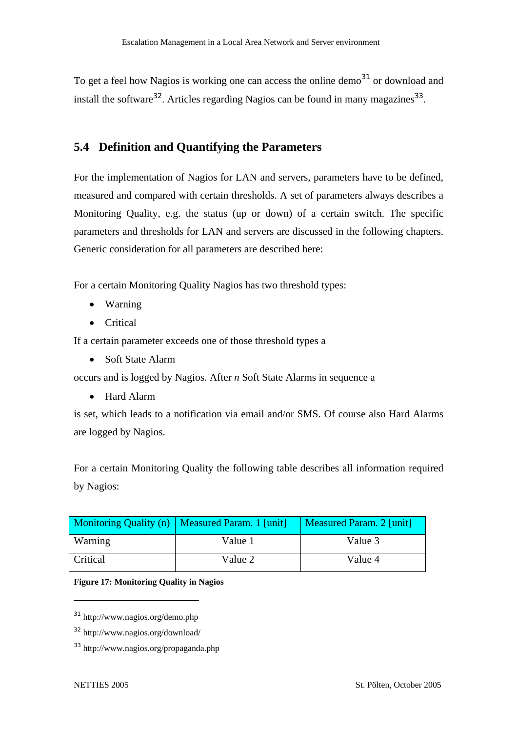To get a feel how Nagios is working one can access the online demo<sup>31</sup> or download and install the software<sup>32</sup>. Articles regarding Nagios can be found in many magazines<sup>33</sup>.

# **5.4 Definition and Quantifying the Parameters**

For the implementation of Nagios for LAN and servers, parameters have to be defined, measured and compared with certain thresholds. A set of parameters always describes a Monitoring Quality, e.g. the status (up or down) of a certain switch. The specific parameters and thresholds for LAN and servers are discussed in the following chapters. Generic consideration for all parameters are described here:

For a certain Monitoring Quality Nagios has two threshold types:

- Warning
- Critical

If a certain parameter exceeds one of those threshold types a

• Soft State Alarm

occurs and is logged by Nagios. After *n* Soft State Alarms in sequence a

• Hard Alarm

is set, which leads to a notification via email and/or SMS. Of course also Hard Alarms are logged by Nagios.

For a certain Monitoring Quality the following table describes all information required by Nagios:

|          | Monitoring Quality (n)   Measured Param. 1 [unit] | Measured Param. 2 [unit] |
|----------|---------------------------------------------------|--------------------------|
| Warning  | Value 1                                           | Value 3                  |
| Critical | Value 2                                           | Value 4                  |

#### **Figure 17: Monitoring Quality in Nagios**

<sup>31</sup> http://www.nagios.org/demo.php

<sup>32</sup> http://www.nagios.org/download/

<sup>33</sup> http://www.nagios.org/propaganda.php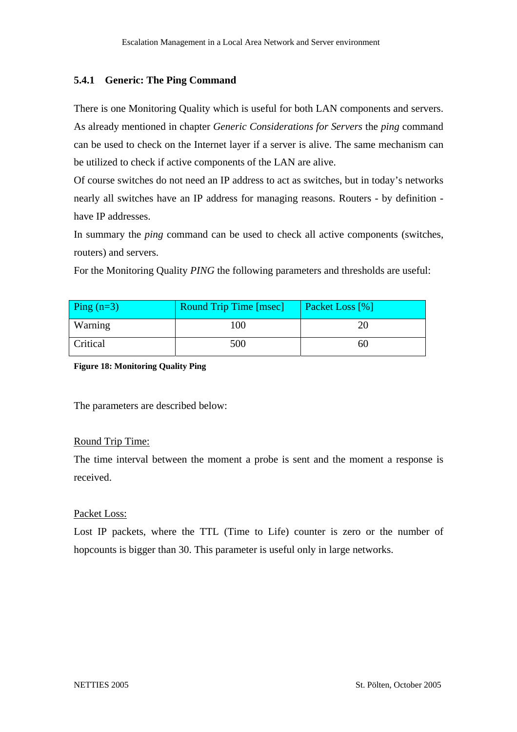### **5.4.1 Generic: The Ping Command**

There is one Monitoring Quality which is useful for both LAN components and servers. As already mentioned in chapter *Generic Considerations for Servers* the *ping* command can be used to check on the Internet layer if a server is alive. The same mechanism can be utilized to check if active components of the LAN are alive.

Of course switches do not need an IP address to act as switches, but in today's networks nearly all switches have an IP address for managing reasons. Routers - by definition have IP addresses.

In summary the *ping* command can be used to check all active components (switches, routers) and servers.

For the Monitoring Quality *PING* the following parameters and thresholds are useful:

| Ping $(n=3)$ | <b>Round Trip Time [msec]</b> | <b>Packet Loss</b> [%] |
|--------------|-------------------------------|------------------------|
| Warning      | 100                           |                        |
| Critical     | 500                           | bU                     |

**Figure 18: Monitoring Quality Ping** 

The parameters are described below:

### Round Trip Time:

The time interval between the moment a probe is sent and the moment a response is received.

### Packet Loss:

Lost IP packets, where the TTL (Time to Life) counter is zero or the number of hopcounts is bigger than 30. This parameter is useful only in large networks.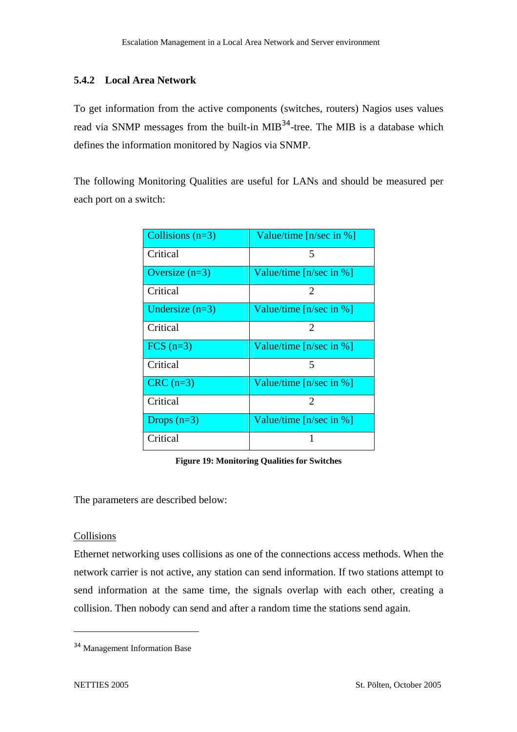### **5.4.2 Local Area Network**

To get information from the active components (switches, routers) Nagios uses values read via SNMP messages from the built-in MIB<sup>34</sup>-tree. The MIB is a database which defines the information monitored by Nagios via SNMP.

The following Monitoring Qualities are useful for LANs and should be measured per each port on a switch:

| Collisions $(n=3)$ | Value/time $[n/sec in %]$ |
|--------------------|---------------------------|
| Critical           | 5                         |
| Oversize $(n=3)$   | Value/time $[n/sec in %]$ |
| Critical           | 2                         |
| Undersize $(n=3)$  | Value/time $[n/sec in %]$ |
| Critical           | 2                         |
| $FCS$ $(n=3)$      | Value/time $[n/sec in %]$ |
| Critical           | 5                         |
| $CRC$ (n=3)        | Value/time $[n/sec in %]$ |
| Critical           | $\mathcal{D}_{\cdot}$     |
| Drops $(n=3)$      | Value/time $[n/sec in %]$ |
| Critical           |                           |

**Figure 19: Monitoring Qualities for Switches** 

The parameters are described below:

### Collisions

Ethernet networking uses collisions as one of the connections access methods. When the network carrier is not active, any station can send information. If two stations attempt to send information at the same time, the signals overlap with each other, creating a collision. Then nobody can send and after a random time the stations send again.

<sup>34</sup> Management Information Base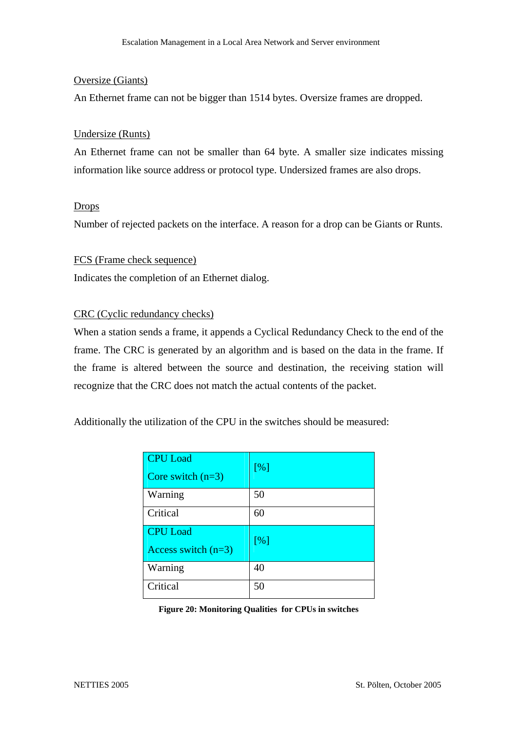### Oversize (Giants)

An Ethernet frame can not be bigger than 1514 bytes. Oversize frames are dropped.

#### Undersize (Runts)

An Ethernet frame can not be smaller than 64 byte. A smaller size indicates missing information like source address or protocol type. Undersized frames are also drops.

#### **Drops**

Number of rejected packets on the interface. A reason for a drop can be Giants or Runts.

#### FCS (Frame check sequence)

Indicates the completion of an Ethernet dialog.

#### CRC (Cyclic redundancy checks)

When a station sends a frame, it appends a Cyclical Redundancy Check to the end of the frame. The CRC is generated by an algorithm and is based on the data in the frame. If the frame is altered between the source and destination, the receiving station will recognize that the CRC does not match the actual contents of the packet.

Additionally the utilization of the CPU in the switches should be measured:

| <b>CPU</b> Load<br>Core switch $(n=3)$   | [%] |
|------------------------------------------|-----|
| Warning                                  | 50  |
| Critical                                 | 60  |
| <b>CPU</b> Load<br>Access switch $(n=3)$ | [%] |
| Warning                                  | 40  |
| Critical                                 | 50  |

**Figure 20: Monitoring Qualities for CPUs in switches**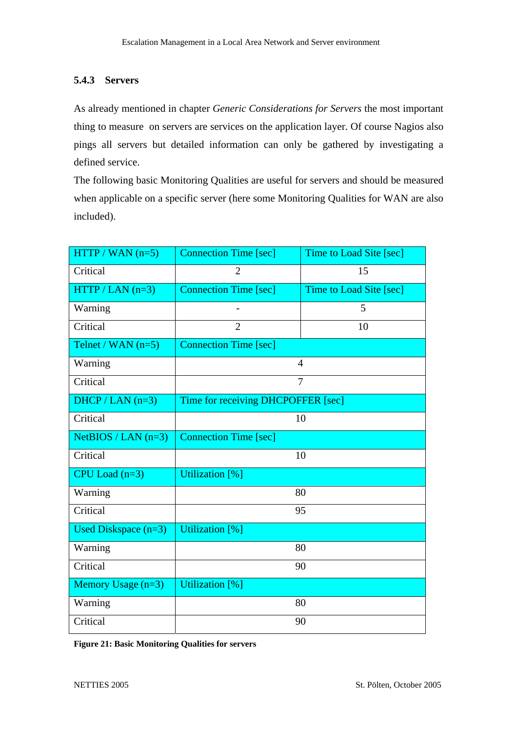### **5.4.3 Servers**

As already mentioned in chapter *Generic Considerations for Servers* the most important thing to measure on servers are services on the application layer. Of course Nagios also pings all servers but detailed information can only be gathered by investigating a defined service.

The following basic Monitoring Qualities are useful for servers and should be measured when applicable on a specific server (here some Monitoring Qualities for WAN are also included).

| $HTTP / WAN (n=5)$     | <b>Connection Time [sec]</b>       | Time to Load Site [sec] |
|------------------------|------------------------------------|-------------------------|
| Critical               | $\overline{2}$                     | 15                      |
| $HTTP / LAN (n=3)$     | <b>Connection Time [sec]</b>       | Time to Load Site [sec] |
| Warning                |                                    | 5                       |
| Critical               | $\overline{2}$                     | 10                      |
| Telnet / WAN $(n=5)$   | <b>Connection Time [sec]</b>       |                         |
| Warning                |                                    | $\overline{4}$          |
| Critical               |                                    | $\overline{7}$          |
| $DHCP / LAN (n=3)$     | Time for receiving DHCPOFFER [sec] |                         |
| Critical               |                                    | 10                      |
| $NetBIOS / LAN (n=3)$  | <b>Connection Time [sec]</b>       |                         |
| Critical               |                                    | 10                      |
| $CPU$ Load $(n=3)$     | <b>Utilization</b> [%]             |                         |
| Warning                |                                    | 80                      |
| Critical               |                                    | 95                      |
| Used Diskspace $(n=3)$ | <b>Utilization</b> [%]             |                         |
| Warning                |                                    | 80                      |
| Critical               |                                    | 90                      |
| Memory Usage $(n=3)$   | <b>Utilization</b> [%]             |                         |
| Warning                |                                    | 80                      |
| Critical               |                                    | 90                      |

**Figure 21: Basic Monitoring Qualities for servers**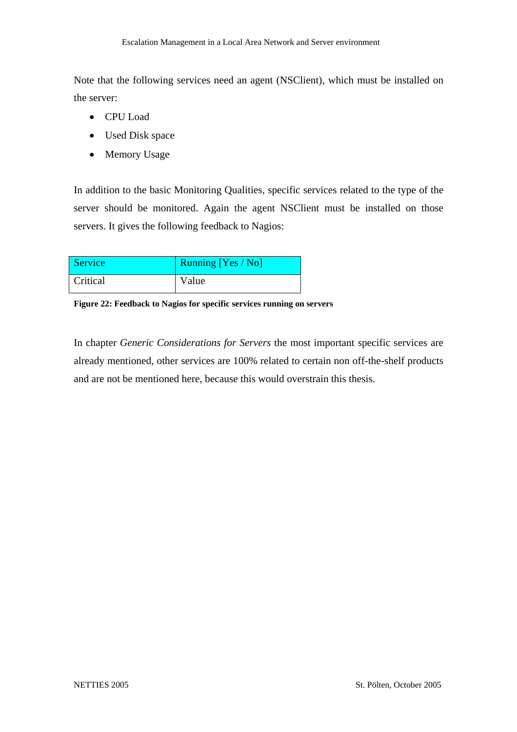Note that the following services need an agent (NSClient), which must be installed on the server:

- CPU Load
- Used Disk space
- Memory Usage

In addition to the basic Monitoring Qualities, specific services related to the type of the server should be monitored. Again the agent NSClient must be installed on those servers. It gives the following feedback to Nagios:

| Service  | <b>Running [Yes / No]</b> |
|----------|---------------------------|
| Critical | Value                     |

**Figure 22: Feedback to Nagios for specific services running on servers** 

In chapter *Generic Considerations for Servers* the most important specific services are already mentioned, other services are 100% related to certain non off-the-shelf products and are not be mentioned here, because this would overstrain this thesis.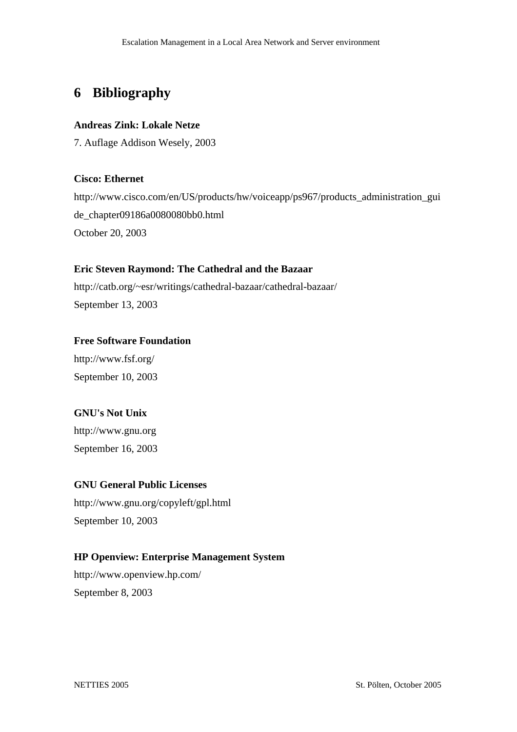# **6 Bibliography**

### **Andreas Zink: Lokale Netze**

7. Auflage Addison Wesely, 2003

### **Cisco: Ethernet**

http://www.cisco.com/en/US/products/hw/voiceapp/ps967/products\_administration\_gui de\_chapter09186a0080080bb0.html October 20, 2003

### **Eric Steven Raymond: The Cathedral and the Bazaar**

http://catb.org/~esr/writings/cathedral-bazaar/cathedral-bazaar/ September 13, 2003

### **Free Software Foundation**

http://www.fsf.org/ September 10, 2003

### **GNU's Not Unix**

http://www.gnu.org September 16, 2003

### **GNU General Public Licenses**

http://www.gnu.org/copyleft/gpl.html September 10, 2003

### **HP Openview: Enterprise Management System**

http://www.openview.hp.com/ September 8, 2003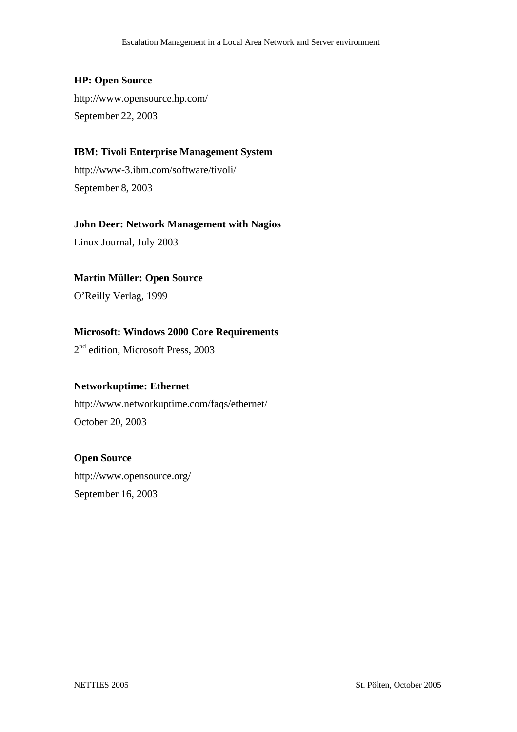### **HP: Open Source**

http://www.opensource.hp.com/ September 22, 2003

### **IBM: Tivoli Enterprise Management System**

http://www-3.ibm.com/software/tivoli/ September 8, 2003

### **John Deer: Network Management with Nagios**

Linux Journal, July 2003

### **Martin Müller: Open Source**

O'Reilly Verlag, 1999

### **Microsoft: Windows 2000 Core Requirements**

2<sup>nd</sup> edition, Microsoft Press, 2003

### **Networkuptime: Ethernet**

http://www.networkuptime.com/faqs/ethernet/ October 20, 2003

### **Open Source**

http://www.opensource.org/ September 16, 2003